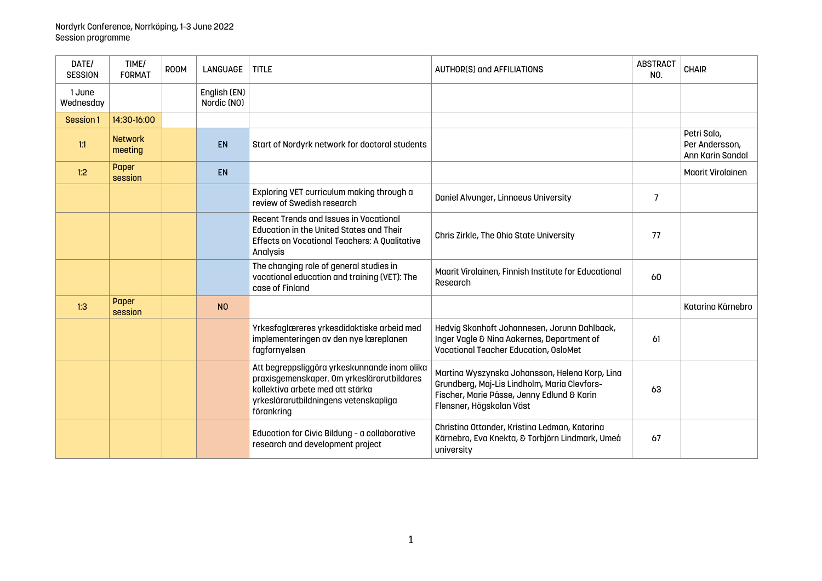| DATE/<br><b>SESSION</b> | TIME/<br><b>FORMAT</b>    | <b>ROOM</b> | <b>LANGUAGE</b>             | <b>TITLE</b>                                                                                                                                                                          | <b>AUTHOR(S) and AFFILIATIONS</b>                                                                                                                                        | <b>ABSTRACT</b><br>NO. | <b>CHAIR</b>                                      |
|-------------------------|---------------------------|-------------|-----------------------------|---------------------------------------------------------------------------------------------------------------------------------------------------------------------------------------|--------------------------------------------------------------------------------------------------------------------------------------------------------------------------|------------------------|---------------------------------------------------|
| 1 June<br>Wednesday     |                           |             | English (EN)<br>Nordic (NO) |                                                                                                                                                                                       |                                                                                                                                                                          |                        |                                                   |
| Session 1               | 14:30-16:00               |             |                             |                                                                                                                                                                                       |                                                                                                                                                                          |                        |                                                   |
| 1:1                     | <b>Network</b><br>meeting |             | <b>EN</b>                   | Start of Nordyrk network for doctoral students                                                                                                                                        |                                                                                                                                                                          |                        | Petri Salo,<br>Per Andersson,<br>Ann Karin Sandal |
| 1:2                     | Paper<br>session          |             | <b>EN</b>                   |                                                                                                                                                                                       |                                                                                                                                                                          |                        | <b>Maarit Virolainen</b>                          |
|                         |                           |             |                             | Exploring VET curriculum making through a<br>review of Swedish research                                                                                                               | Daniel Alvunger, Linnaeus University                                                                                                                                     | $\overline{7}$         |                                                   |
|                         |                           |             |                             | <b>Recent Trends and Issues in Vocational</b><br><b>Education in the United States and Their</b><br>Effects on Vocational Teachers: A Qualitative<br>Analysis                         | Chris Zirkle, The Ohio State University                                                                                                                                  | 77                     |                                                   |
|                         |                           |             |                             | The changing role of general studies in<br>vocational education and training (VET): The<br>case of Finland                                                                            | Maarit Virolainen, Finnish Institute for Educational<br>Research                                                                                                         | 60                     |                                                   |
| 1:3                     | Paper<br>session          |             | N <sub>0</sub>              |                                                                                                                                                                                       |                                                                                                                                                                          |                        | Katarina Kärnebro                                 |
|                         |                           |             |                             | Yrkesfaglæreres yrkesdidaktiske arbeid med<br>implementeringen av den nye læreplanen<br>fagfornyelsen                                                                                 | Hedvig Skonhoft Johannesen, Jorunn Dahlback,<br>Inger Vagle & Nina Aakernes, Department of<br><b>Vocational Teacher Education, OsloMet</b>                               | 61                     |                                                   |
|                         |                           |             |                             | Att begreppsliggöra yrkeskunnande inom olika<br>praxisgemenskaper. Om yrkeslärarutbildares<br>kollektiva arbete med att stärka<br>yrkeslärarutbildningens vetenskapliga<br>förankring | Martina Wyszynska Johansson, Helena Korp, Lina<br>Grundberg, Maj-Lis Lindholm, Maria Clevfors-<br>Fischer, Marie Påsse, Jenny Edlund & Karin<br>Flensner, Högskolan Väst | 63                     |                                                   |
|                         |                           |             |                             | Education for Civic Bildung - a collaborative<br>research and development project                                                                                                     | Christina Ottander, Kristina Ledman, Katarina<br>Kärnebro, Eva Knekta, & Torbjörn Lindmark, Umeå<br>university                                                           | 67                     |                                                   |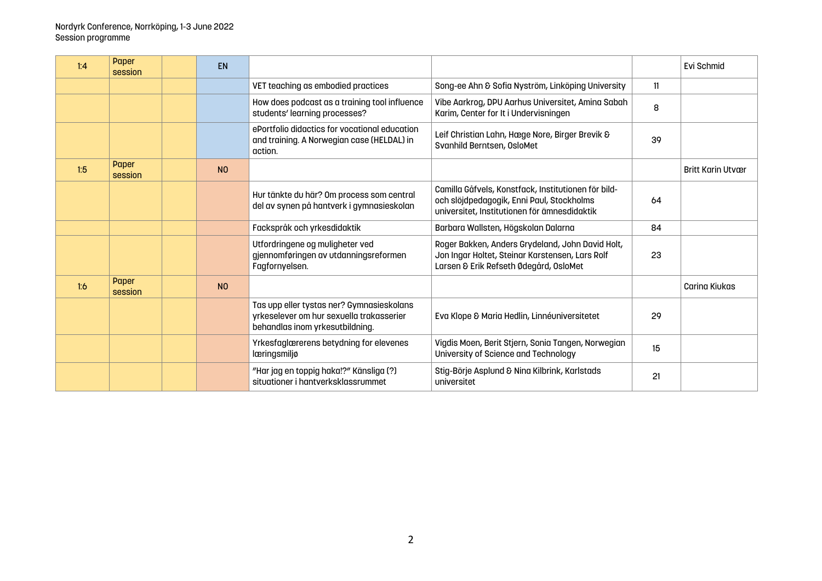| 1:4 | Paper<br>session | <b>EN</b>      |                                                                                                                          |                                                                                                                                                  |    | Evi Schmid               |
|-----|------------------|----------------|--------------------------------------------------------------------------------------------------------------------------|--------------------------------------------------------------------------------------------------------------------------------------------------|----|--------------------------|
|     |                  |                | VET teaching as embodied practices                                                                                       | Song-ee Ahn & Sofia Nyström, Linköping University                                                                                                | 11 |                          |
|     |                  |                | How does podcast as a training tool influence<br>students' learning processes?                                           | Vibe Aarkrog, DPU Aarhus Universitet, Amina Sabah<br>Karim, Center for It i Undervisningen                                                       | 8  |                          |
|     |                  |                | ePortfolio didactics for vocational education<br>and training. A Norwegian case (HELDAL) in<br>action.                   | Leif Christian Lahn, Hæge Nore, Birger Brevik &<br>Svanhild Berntsen, OsloMet                                                                    | 39 |                          |
| 1:5 | Paper<br>session | N <sub>0</sub> |                                                                                                                          |                                                                                                                                                  |    | <b>Britt Karin Utvær</b> |
|     |                  |                | Hur tänkte du här? Om process som central<br>del av synen på hantverk i gymnasieskolan                                   | Camilla Gåfvels, Konstfack, Institutionen för bild-<br>och slöjdpedagogik, Enni Paul, Stockholms<br>universitet, Institutionen för ämnesdidaktik | 64 |                          |
|     |                  |                | Fackspråk och yrkesdidaktik                                                                                              | Barbara Wallsten, Högskolan Dalarna                                                                                                              | 84 |                          |
|     |                  |                | Utfordringene og muligheter ved<br>gjennomføringen av utdanningsreformen<br>Fagfornyelsen.                               | Roger Bakken, Anders Grydeland, John David Holt,<br>Jon Ingar Holtet, Steinar Karstensen, Lars Rolf<br>Larsen & Erik Refseth Ødegård, OsloMet    | 23 |                          |
| 1:6 | Paper<br>session | N <sub>0</sub> |                                                                                                                          |                                                                                                                                                  |    | <b>Carina Kiukas</b>     |
|     |                  |                | Tas upp eller tystas ner? Gymnasieskolans<br>yrkeselever om hur sexuella trakasserier<br>behandlas inom yrkesutbildning. | Eva Klope & Maria Hedlin, Linnéuniversitetet                                                                                                     | 29 |                          |
|     |                  |                | Yrkesfaglærerens betydning for elevenes<br>læringsmiljø                                                                  | Vigdis Moen, Berit Stjern, Sonia Tangen, Norwegian<br>University of Science and Technology                                                       | 15 |                          |
|     |                  |                | "Har jag en toppig haka!?" Känsliga (?)<br>situationer i hantverksklassrummet                                            | Stig-Börje Asplund & Nina Kilbrink, Karlstads<br>universitet                                                                                     | 21 |                          |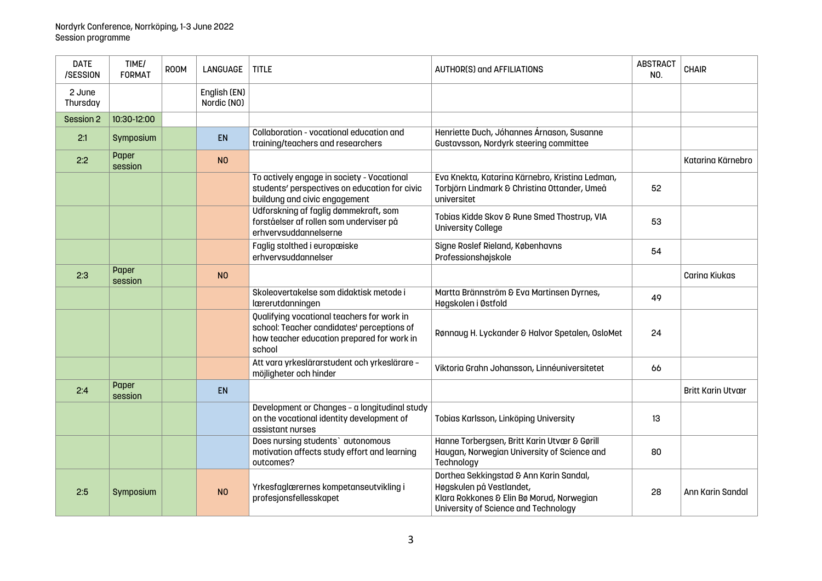| <b>DATE</b><br>/SESSION | TIME/<br><b>FORMAT</b> | ROOM | <b>LANGUAGE</b>             | <b>TITLE</b>                                                                                                                                     | <b>AUTHOR(S) and AFFILIATIONS</b>                                                                                                                        | <b>ABSTRACT</b><br>NO. | <b>CHAIR</b>             |
|-------------------------|------------------------|------|-----------------------------|--------------------------------------------------------------------------------------------------------------------------------------------------|----------------------------------------------------------------------------------------------------------------------------------------------------------|------------------------|--------------------------|
| 2 June<br>Thursday      |                        |      | English (EN)<br>Nordic (NO) |                                                                                                                                                  |                                                                                                                                                          |                        |                          |
| Session 2               | 10:30-12:00            |      |                             |                                                                                                                                                  |                                                                                                                                                          |                        |                          |
| 2:1                     | Symposium              |      | <b>EN</b>                   | Collaboration - vocational education and<br>training/teachers and researchers                                                                    | Henriette Duch, Jóhannes Árnason, Susanne<br>Gustavsson, Nordyrk steering committee                                                                      |                        |                          |
| 2:2                     | Paper<br>session       |      | N <sub>0</sub>              |                                                                                                                                                  |                                                                                                                                                          |                        | Katarina Kärnebro        |
|                         |                        |      |                             | To actively engage in society - Vocational<br>students' perspectives on education for civic<br>buildung and civic engagement                     | Eva Knekta, Katarina Kärnebro, Kristina Ledman,<br>Torbjörn Lindmark & Christina Ottander, Umeå<br>universitet                                           | 52                     |                          |
|                         |                        |      |                             | Udforskning af faglig dømmekraft, som<br>forståelser af rollen som underviser på<br>erhvervsuddannelserne                                        | Tobias Kidde Skov & Rune Smed Thostrup, VIA<br><b>University College</b>                                                                                 | 53                     |                          |
|                         |                        |      |                             | Faglig stolthed i europæiske<br>erhvervsuddannelser                                                                                              | Signe Roslef Rieland, Københavns<br>Professionshøjskole                                                                                                  | 54                     |                          |
| 2:3                     | Paper<br>session       |      | N <sub>O</sub>              |                                                                                                                                                  |                                                                                                                                                          |                        | Carina Kiukas            |
|                         |                        |      |                             | Skoleovertakelse som didaktisk metode i<br>lærerutdanningen                                                                                      | Martta Brännström & Eva Martinsen Dyrnes,<br>Høgskolen i Østfold                                                                                         | 49                     |                          |
|                         |                        |      |                             | Qualifying vocational teachers for work in<br>school: Teacher candidates' perceptions of<br>how teacher education prepared for work in<br>school | Rønnaug H. Lyckander & Halvor Spetalen, OsloMet                                                                                                          | 24                     |                          |
|                         |                        |      |                             | Att vara yrkeslärarstudent och yrkeslärare -<br>möjligheter och hinder                                                                           | Viktoria Grahn Johansson, Linnéuniversitetet                                                                                                             | 66                     |                          |
| 2:4                     | Paper<br>session       |      | EN                          |                                                                                                                                                  |                                                                                                                                                          |                        | <b>Britt Karin Utvær</b> |
|                         |                        |      |                             | Development or Changes - a longitudinal study<br>on the vocational identity development of<br>assistant nurses                                   | Tobias Karlsson, Linköping University                                                                                                                    | 13                     |                          |
|                         |                        |      |                             | Does nursing students' autonomous<br>motivation affects study effort and learning<br>outcomes?                                                   | Hanne Torbergsen, Britt Karin Utvær & Gørill<br>Haugan, Norwegian University of Science and<br>Technology                                                | 80                     |                          |
| 2:5                     | Symposium              |      | N <sub>O</sub>              | Yrkesfaglærernes kompetanseutvikling i<br>profesjonsfellesskapet                                                                                 | Dorthea Sekkingstad & Ann Karin Sandal,<br>Høgskulen på Vestlandet,<br>Klara Rokkones & Elin Bø Morud, Norwegian<br>University of Science and Technology | 28                     | Ann Karin Sandal         |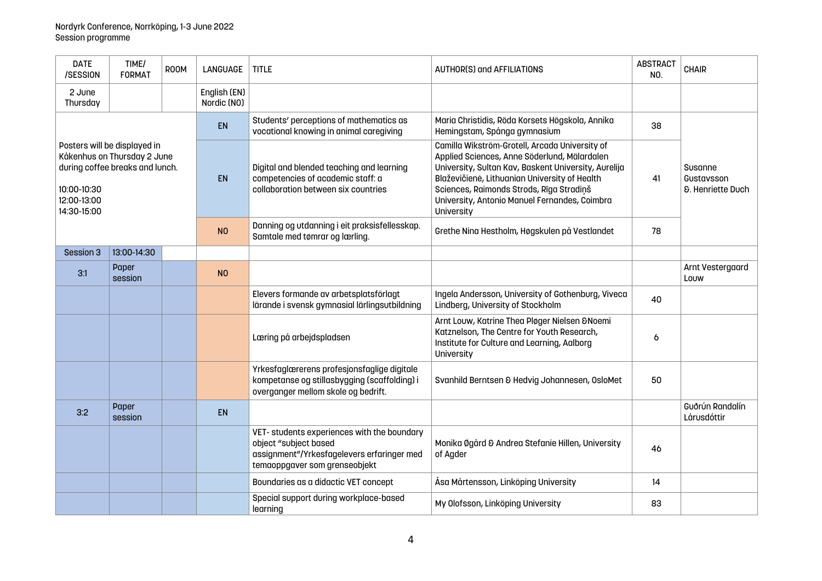| <b>DATE</b><br>/SESSION                                                                                                                     | TIME/<br><b>FORMAT</b> | ROOM | <b>LANGUAGE</b>             | <b>TITLE</b>                                                                                                                                        | <b>AUTHOR(S) and AFFILIATIONS</b>                                                                                                                                                                                                                                                                                  | <b>ABSTRACT</b><br>NO. | CHAIR                                                 |  |
|---------------------------------------------------------------------------------------------------------------------------------------------|------------------------|------|-----------------------------|-----------------------------------------------------------------------------------------------------------------------------------------------------|--------------------------------------------------------------------------------------------------------------------------------------------------------------------------------------------------------------------------------------------------------------------------------------------------------------------|------------------------|-------------------------------------------------------|--|
| 2 June<br>Thursday                                                                                                                          |                        |      | English (EN)<br>Nordic (NO) |                                                                                                                                                     |                                                                                                                                                                                                                                                                                                                    |                        |                                                       |  |
|                                                                                                                                             |                        |      | <b>EN</b>                   | Students' perceptions of mathematics as<br>vocational knowing in animal caregiving                                                                  | Maria Christidis, Röda Korsets Högskola, Annika<br>Hemingstam, Spånga gymnasium                                                                                                                                                                                                                                    | 38                     |                                                       |  |
| Posters will be displayed in<br>Kåkenhus on Thursday 2 June<br>during coffee breaks and lunch.<br>10:00-10:30<br>12:00-13:00<br>14:30-15:00 |                        |      | <b>EN</b>                   | Digital and blended teaching and learning<br>competencies of academic staff: a<br>collaboration between six countries                               | Camilla Wikström-Grotell, Arcada University of<br>Applied Sciences, Anne Söderlund, Mälardalen<br>University, Sultan Kav, Baskent University, Aurelija<br>Blaževičienė, Lithuanian University of Health<br>Sciences, Raimonds Strods, Rīga Stradiņš<br>University, Antonio Manuel Fernandes, Coimbra<br>University | 41                     | Susanne<br>Gustavsson<br><b>&amp;. Henriette Duch</b> |  |
|                                                                                                                                             |                        |      | N <sub>O</sub>              | Danning og utdanning i eit praksisfellesskap.<br>Samtale med tømrar og lærling.                                                                     | Grethe Nina Hestholm, Høgskulen på Vestlandet                                                                                                                                                                                                                                                                      | 78                     |                                                       |  |
| Session 3                                                                                                                                   | 13:00-14:30            |      |                             |                                                                                                                                                     |                                                                                                                                                                                                                                                                                                                    |                        |                                                       |  |
| 3:1                                                                                                                                         | Paper<br>session       |      | N <sub>O</sub>              |                                                                                                                                                     |                                                                                                                                                                                                                                                                                                                    |                        | Arnt Vestergaard<br>Louw                              |  |
|                                                                                                                                             |                        |      |                             | Elevers formande av arbetsplatsförlagt<br>lärande i svensk gymnasial lärlingsutbildning                                                             | Ingela Andersson, University of Gothenburg, Viveca<br>Lindberg, University of Stockholm                                                                                                                                                                                                                            | 40                     |                                                       |  |
|                                                                                                                                             |                        |      |                             | Læring på arbejdspladsen                                                                                                                            | Arnt Louw, Katrine Thea Pløger Nielsen & Noemi<br>Katznelson, The Centre for Youth Research,<br>Institute for Culture and Learning, Aalborg<br>University                                                                                                                                                          | 6                      |                                                       |  |
|                                                                                                                                             |                        |      |                             | Yrkesfaglærerens profesjonsfaglige digitale<br>kompetanse og stillasbygging (scaffolding) i<br>overganger mellom skole og bedrift.                  | Svanhild Berntsen & Hedvig Johannesen, OsloMet                                                                                                                                                                                                                                                                     | 50                     |                                                       |  |
| 3:2                                                                                                                                         | Paper<br>session       |      | <b>EN</b>                   |                                                                                                                                                     |                                                                                                                                                                                                                                                                                                                    |                        | Guðrún Randalín<br>Lárusdóttir                        |  |
|                                                                                                                                             |                        |      |                             | VET- students experiences with the boundary<br>object "subject based<br>assignment"/Yrkesfagelevers erfaringer med<br>temaoppgaver som grenseobjekt | Monika Øgård & Andrea Stefanie Hillen, University<br>of Agder                                                                                                                                                                                                                                                      | 46                     |                                                       |  |
|                                                                                                                                             |                        |      |                             | Boundaries as a didactic VET concept                                                                                                                | Åsa Mårtensson, Linköping University                                                                                                                                                                                                                                                                               | 14                     |                                                       |  |
|                                                                                                                                             |                        |      |                             | Special support during workplace-based<br>learning                                                                                                  | My Olofsson, Linköping University                                                                                                                                                                                                                                                                                  | 83                     |                                                       |  |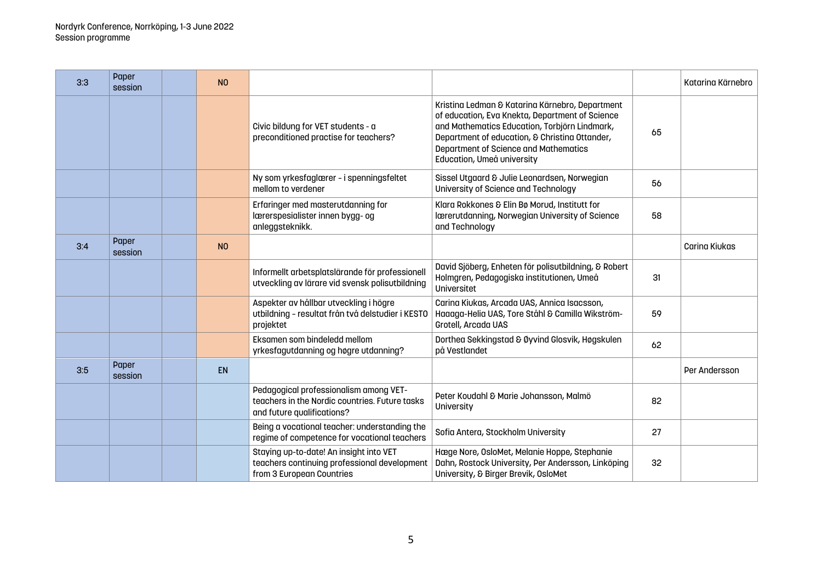| 3:3 | Paper<br>session | N <sub>0</sub> |                                                                                                                        |                                                                                                                                                                                                                                                                                     |    | Katarina Kärnebro |
|-----|------------------|----------------|------------------------------------------------------------------------------------------------------------------------|-------------------------------------------------------------------------------------------------------------------------------------------------------------------------------------------------------------------------------------------------------------------------------------|----|-------------------|
|     |                  |                | Civic bildung for VET students - a<br>preconditioned practise for teachers?                                            | Kristina Ledman & Katarina Kärnebro, Department<br>of education, Eva Knekta, Department of Science<br>and Mathematics Education, Torbjörn Lindmark,<br>Department of education, & Christina Ottander,<br><b>Department of Science and Mathematics</b><br>Education, Umeå university | 65 |                   |
|     |                  |                | Ny som yrkesfaglærer - i spenningsfeltet<br>mellom to verdener                                                         | Sissel Utgaard & Julie Leonardsen, Norwegian<br>University of Science and Technology                                                                                                                                                                                                | 56 |                   |
|     |                  |                | Erfaringer med masterutdanning for<br>lærerspesialister innen bygg- og<br>anleggsteknikk.                              | Klara Rokkones & Elin Bø Morud, Institutt for<br>Iærerutdanning, Norwegian University of Science<br>and Technology                                                                                                                                                                  | 58 |                   |
| 3:4 | Paper<br>session | N <sub>O</sub> |                                                                                                                        |                                                                                                                                                                                                                                                                                     |    | Carina Kiukas     |
|     |                  |                | Informellt arbetsplatslärande för professionell<br>utveckling av lärare vid svensk polisutbildning                     | David Sjöberg, Enheten för polisutbildning, & Robert<br>Holmgren, Pedagogiska institutionen, Umeå<br>Universitet                                                                                                                                                                    | 31 |                   |
|     |                  |                | Aspekter av hållbar utveckling i högre<br>utbildning - resultat från två delstudier i KESTO<br>projektet               | Carina Kiukas, Arcada UAS, Annica Isacsson,<br>Haaaga-Helia UAS, Tore Ståhl & Camilla Wikström-<br>Grotell, Arcada UAS                                                                                                                                                              | 59 |                   |
|     |                  |                | Eksamen som bindeledd mellom<br>yrkesfagutdanning og høgre utdanning?                                                  | Dorthea Sekkingstad & Øyvind Glosvik, Høgskulen<br>på Vestlandet                                                                                                                                                                                                                    | 62 |                   |
| 3:5 | Paper<br>session | <b>EN</b>      |                                                                                                                        |                                                                                                                                                                                                                                                                                     |    | Per Andersson     |
|     |                  |                | Pedagogical professionalism among VET-<br>teachers in the Nordic countries. Future tasks<br>and future qualifications? | Peter Koudahl & Marie Johansson, Malmö<br>University                                                                                                                                                                                                                                | 82 |                   |
|     |                  |                | Being a vocational teacher: understanding the<br>regime of competence for vocational teachers                          | Sofia Antera, Stockholm University                                                                                                                                                                                                                                                  | 27 |                   |
|     |                  |                | Staying up-to-date! An insight into VET<br>teachers continuing professional development<br>from 3 European Countries   | Hæge Nore, OsloMet, Melanie Hoppe, Stephanie<br>Dahn, Rostock University, Per Andersson, Linköping<br>University, & Birger Brevik, OsloMet                                                                                                                                          | 32 |                   |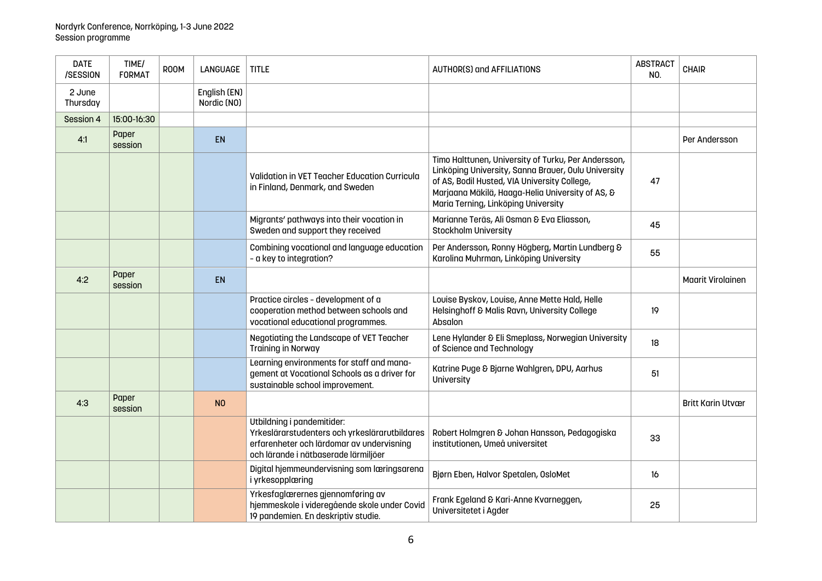| <b>DATE</b><br>/SESSION | TIME/<br><b>FORMAT</b> | <b>ROOM</b> | <b>LANGUAGE</b>             | <b>TITLE</b>                                                                                                                                                     | <b>AUTHOR(S) and AFFILIATIONS</b>                                                                                                                                                                                                                     | <b>ABSTRACT</b><br>NO. | <b>CHAIR</b>             |
|-------------------------|------------------------|-------------|-----------------------------|------------------------------------------------------------------------------------------------------------------------------------------------------------------|-------------------------------------------------------------------------------------------------------------------------------------------------------------------------------------------------------------------------------------------------------|------------------------|--------------------------|
| 2 June<br>Thursday      |                        |             | English (EN)<br>Nordic (NO) |                                                                                                                                                                  |                                                                                                                                                                                                                                                       |                        |                          |
| Session 4               | 15:00-16:30            |             |                             |                                                                                                                                                                  |                                                                                                                                                                                                                                                       |                        |                          |
| 4:1                     | Paper<br>session       |             | EN                          |                                                                                                                                                                  |                                                                                                                                                                                                                                                       |                        | Per Andersson            |
|                         |                        |             |                             | <b>Validation in VET Teacher Education Curricula</b><br>in Finland, Denmark, and Sweden                                                                          | Timo Halttunen, University of Turku, Per Andersson,<br>Linköping University, Sanna Brauer, Oulu University<br>of AS, Bodil Husted, VIA University College,<br>Marjaana Mäkilä, Haaga-Helia University of AS, &<br>Maria Terning, Linköping University | 47                     |                          |
|                         |                        |             |                             | Migrants' pathways into their vocation in<br>Sweden and support they received                                                                                    | Marianne Teräs, Ali Osman & Eva Eliasson,<br><b>Stockholm University</b>                                                                                                                                                                              | 45                     |                          |
|                         |                        |             |                             | Combining vocational and language education<br>- a key to integration?                                                                                           | Per Andersson, Ronny Högberg, Martin Lundberg &<br>Karolina Muhrman, Linköping University                                                                                                                                                             | 55                     |                          |
| 4:2                     | Paper<br>session       |             | <b>EN</b>                   |                                                                                                                                                                  |                                                                                                                                                                                                                                                       |                        | <b>Maarit Virolainen</b> |
|                         |                        |             |                             | Practice circles - development of a<br>cooperation method between schools and<br>vocational educational programmes.                                              | Louise Byskov, Louise, Anne Mette Hald, Helle<br>Helsinghoff & Malis Ravn, University College<br>Absalon                                                                                                                                              | 19                     |                          |
|                         |                        |             |                             | Negotiating the Landscape of VET Teacher<br><b>Training in Norway</b>                                                                                            | Lene Hylander & Eli Smeplass, Norwegian University<br>of Science and Technology                                                                                                                                                                       | 18                     |                          |
|                         |                        |             |                             | Learning environments for staff and mana-<br>gement at Vocational Schools as a driver for<br>sustainable school improvement.                                     | Katrine Puge & Bjarne Wahlgren, DPU, Aarhus<br>University                                                                                                                                                                                             | 51                     |                          |
| 4:3                     | Paper<br>session       |             | N <sub>O</sub>              |                                                                                                                                                                  |                                                                                                                                                                                                                                                       |                        | <b>Britt Karin Utvær</b> |
|                         |                        |             |                             | Utbildning i pandemitider:<br>Yrkeslärarstudenters och yrkeslärarutbildares<br>erfarenheter och lärdomar av undervisning<br>och lärande i nätbaserade lärmiljöer | Robert Holmgren & Johan Hansson, Pedagogiska<br>institutionen, Umeå universitet                                                                                                                                                                       | 33                     |                          |
|                         |                        |             |                             | Digital hjemmeundervisning som læringsarena<br>i yrkesopplæring                                                                                                  | Bjørn Eben, Halvor Spetalen, OsloMet                                                                                                                                                                                                                  | 16                     |                          |
|                         |                        |             |                             | Yrkesfaglærernes gjennomføring av<br>hjemmeskole i videregående skole under Covid<br>19 pandemien. En deskriptiv studie.                                         | Frank Egeland & Kari-Anne Kvarneggen,<br>Universitetet i Agder                                                                                                                                                                                        | 25                     |                          |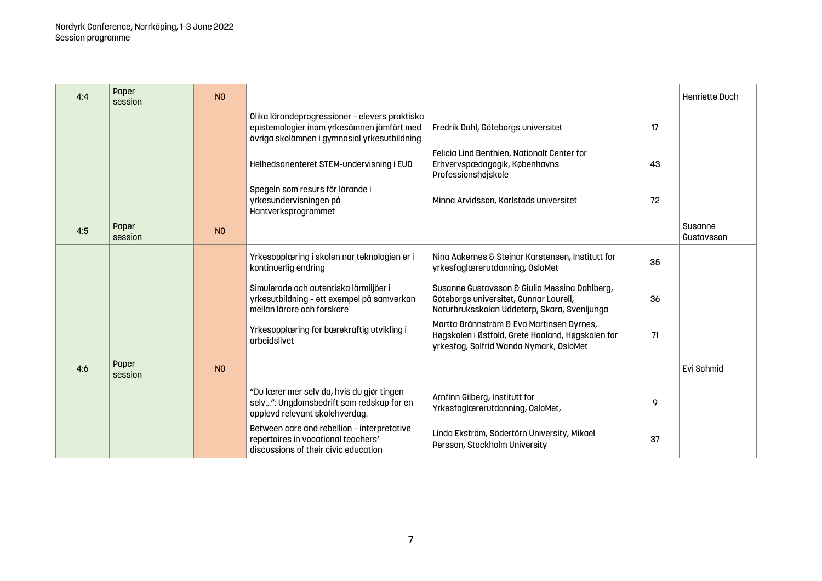| 4:4 | Paper<br>session | N <sub>0</sub> |                                                                                                                                              |                                                                                                                                           |    | <b>Henriette Duch</b> |
|-----|------------------|----------------|----------------------------------------------------------------------------------------------------------------------------------------------|-------------------------------------------------------------------------------------------------------------------------------------------|----|-----------------------|
|     |                  |                | Olika lärandeprogressioner - elevers praktiska<br>epistemologier inom yrkesämnen jämfört med<br>övriga skolämnen i gymnasial yrkesutbildning | Fredrik Dahl, Göteborgs universitet                                                                                                       | 17 |                       |
|     |                  |                | Helhedsorienteret STEM-undervisning i EUD                                                                                                    | Felicia Lind Benthien, Nationalt Center for<br>Erhvervspædagogik, Københavns<br>Professionshøjskole                                       | 43 |                       |
|     |                  |                | Spegeln som resurs för lärande i<br>yrkesundervisningen på<br>Hantverksprogrammet                                                            | Minna Arvidsson, Karlstads universitet                                                                                                    | 72 |                       |
| 4:5 | Paper<br>session | N <sub>0</sub> |                                                                                                                                              |                                                                                                                                           |    | Susanne<br>Gustavsson |
|     |                  |                | Yrkesopplæring i skolen når teknologien er i<br>kontinuerlig endring                                                                         | Nina Aakernes & Steinar Karstensen, Institutt for<br>yrkesfaglærerutdanning, OsloMet                                                      | 35 |                       |
|     |                  |                | Simulerade och autentiska lärmiljöer i<br>yrkesutbildning - ett exempel på samverkan<br>mellan lärare och forskare                           | Susanne Gustavsson & Giulia Messina Dahlberg,<br>Göteborgs universitet, Gunnar Laurell,<br>Naturbruksskolan Uddetorp, Skara, Svenljunga   | 36 |                       |
|     |                  |                | Yrkesopplæring for bærekraftig utvikling i<br>arbeidslivet                                                                                   | Martta Brännström & Eva Martinsen Dyrnes,<br>Høgskolen i Østfold, Grete Haaland, Høgskolen for<br>yrkesfag, Solfrid Wanda Nymark, OsloMet | 71 |                       |
| 4:6 | Paper<br>session | N <sub>0</sub> |                                                                                                                                              |                                                                                                                                           |    | Evi Schmid            |
|     |                  |                | "Du lærer mer selv da, hvis du gjør tingen<br>selv": Ungdomsbedrift som redskap for en<br>opplevd relevant skolehverdag.                     | Arnfinn Gilberg, Institutt for<br>Yrkesfaglærerutdanning, OsloMet,                                                                        | 9  |                       |
|     |                  |                | Between care and rebellion - interpretative<br>repertoires in vocational teachers'<br>discussions of their civic education                   | Linda Ekström, Södertörn University, Mikael<br>Persson, Stockholm University                                                              | 37 |                       |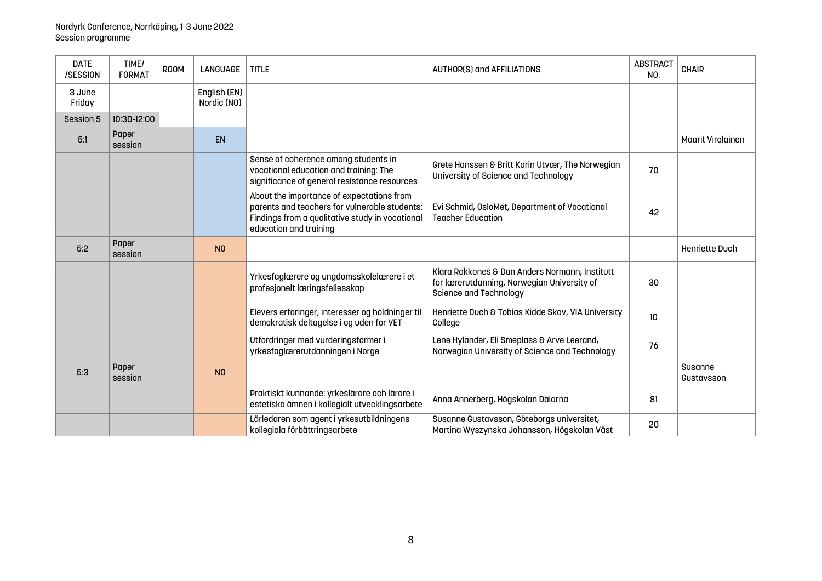| <b>DATE</b><br>/SESSION | TIME/<br><b>FORMAT</b> | <b>ROOM</b> | LANGUAGE                    | <b>TITLE</b>                                                                                                                                                            | <b>AUTHOR(S) and AFFILIATIONS</b>                                                                                              | <b>ABSTRACT</b><br>NO. | <b>CHAIR</b>             |
|-------------------------|------------------------|-------------|-----------------------------|-------------------------------------------------------------------------------------------------------------------------------------------------------------------------|--------------------------------------------------------------------------------------------------------------------------------|------------------------|--------------------------|
| 3 June<br>Friday        |                        |             | English (EN)<br>Nordic (NO) |                                                                                                                                                                         |                                                                                                                                |                        |                          |
| Session 5               | 10:30-12:00            |             |                             |                                                                                                                                                                         |                                                                                                                                |                        |                          |
| 5:1                     | Paper<br>session       |             | <b>EN</b>                   |                                                                                                                                                                         |                                                                                                                                |                        | <b>Maarit Virolainen</b> |
|                         |                        |             |                             | Sense of coherence among students in<br>vocational education and training: The<br>significance of general resistance resources                                          | Grete Hanssen & Britt Karin Utvær, The Norwegian<br>University of Science and Technology                                       | 70                     |                          |
|                         |                        |             |                             | About the importance of expectations from<br>parents and teachers for vulnerable students:<br>Findings from a qualitative study in vocational<br>education and training | Evi Schmid, OsloMet, Department of Vocational<br><b>Teacher Education</b>                                                      | 42                     |                          |
| 5:2                     | Paper<br>session       |             | N <sub>0</sub>              |                                                                                                                                                                         |                                                                                                                                |                        | Henriette Duch           |
|                         |                        |             |                             | Yrkesfaglærere og ungdomsskolelærere i et<br>profesjonelt læringsfellesskap                                                                                             | Klara Rokkones & Dan Anders Normann, Institutt<br>for lærerutdanning, Norwegian University of<br><b>Science and Technology</b> | 30                     |                          |
|                         |                        |             |                             | Elevers erfaringer, interesser og holdninger til<br>demokratisk deltagelse i og uden for VET                                                                            | Henriette Duch & Tobias Kidde Skov, VIA University<br>College                                                                  | 10 <sup>10</sup>       |                          |
|                         |                        |             |                             | Utfordringer med vurderingsformer i<br>yrkesfaglærerutdanningen i Norge                                                                                                 | Lene Hylander, Eli Smeplass & Arve Leerand,<br>Norwegian University of Science and Technology                                  | 76                     |                          |
| 5:3                     | Paper<br>session       |             | N <sub>O</sub>              |                                                                                                                                                                         |                                                                                                                                |                        | Susanne<br>Gustavsson    |
|                         |                        |             |                             | Praktiskt kunnande: yrkeslärare och lärare i<br>estetiska ämnen i kollegialt utvecklingsarbete                                                                          | Anna Annerberg, Högskolan Dalarna                                                                                              | 81                     |                          |
|                         |                        |             |                             | Lärledaren som agent i yrkesutbildningens<br>kollegiala förbättringsarbete                                                                                              | Susanne Gustavsson, Göteborgs universitet,<br>Martina Wyszynska Johansson, Högskolan Väst                                      | 20                     |                          |